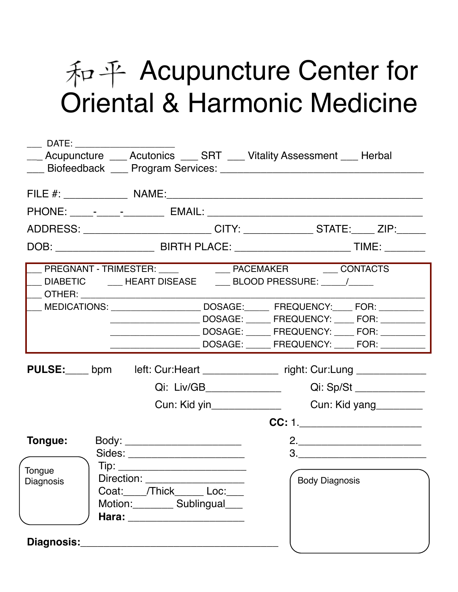## 和平 Acupuncture Center for Oriental & Harmonic Medicine

| $\overline{\phantom{1}}$ DATE:    |                                                                               | __ Acupuncture __ Acutonics __ SRT __ Vitality Assessment __ Herbal                                                                       |  |  |  |  |  |
|-----------------------------------|-------------------------------------------------------------------------------|-------------------------------------------------------------------------------------------------------------------------------------------|--|--|--|--|--|
|                                   |                                                                               |                                                                                                                                           |  |  |  |  |  |
|                                   |                                                                               |                                                                                                                                           |  |  |  |  |  |
|                                   | ADDRESS: __________________________CITY: ______________STATE:_____ ZIP:______ |                                                                                                                                           |  |  |  |  |  |
|                                   |                                                                               |                                                                                                                                           |  |  |  |  |  |
|                                   |                                                                               | __ PREGNANT - TRIMESTER: ____ _________ PACEMAKER _______ CONTACTS<br>DIABETIC _______ HEART DISEASE ______ BLOOD PRESSURE: ______/______ |  |  |  |  |  |
|                                   |                                                                               | __ MEDICATIONS: _____________________ DOSAGE:______ FREQUENCY:____ FOR: ________                                                          |  |  |  |  |  |
|                                   | Cun: Kid yin_______________                                                   | <b>PULSE:</b> bpm left: Cur: Heart _________________ right: Cur: Lung _______________<br>Cun: Kid yang                                    |  |  |  |  |  |
| Tongue:                           | Body: _______________________                                                 |                                                                                                                                           |  |  |  |  |  |
| Tongue<br>Direction:<br>Diagnosis | Sides: ________________________<br>Coat: //Thick Loc:<br>Motion: Sublingual   | $\begin{array}{c}\n3.\n\end{array}$<br>$\sqrt{2}$<br><b>Body Diagnosis</b>                                                                |  |  |  |  |  |
| Diagnosis:                        |                                                                               |                                                                                                                                           |  |  |  |  |  |